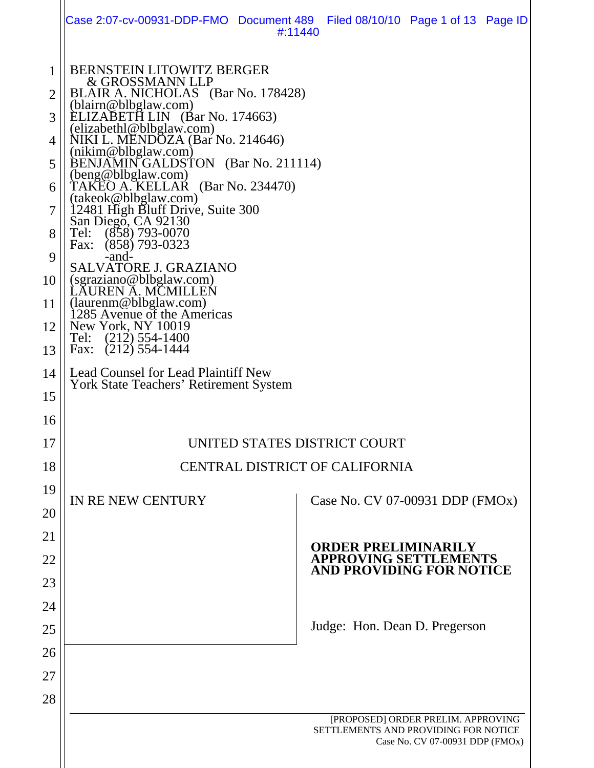|                                                                                      | Case 2:07-cv-00931-DDP-FMO Document 489  Filed 08/10/10  Page 1 of 13  Page ID<br>#:11440                                                                                                                                                                                                                                                                                                                                                                                                                                                                                                                                                                                                                                                                       |
|--------------------------------------------------------------------------------------|-----------------------------------------------------------------------------------------------------------------------------------------------------------------------------------------------------------------------------------------------------------------------------------------------------------------------------------------------------------------------------------------------------------------------------------------------------------------------------------------------------------------------------------------------------------------------------------------------------------------------------------------------------------------------------------------------------------------------------------------------------------------|
| 1<br>$\overline{2}$<br>3<br>4<br>5<br>6<br>7<br>8<br>9<br>10<br>11<br>12<br>13<br>14 | <b>BERNSTEIN LITOWITZ BERGER</b><br>& GROSSMANN LLP<br>BLAIR A. NICHOLAS (Bar No. 178428)<br>(blairn@blbglaw.com)<br>LIZABETH LIN (Bar No. 174663)<br>(elizabethl@blbglaw.com)<br>NIKI L. MENDOZA (Bar No. 214646)<br>(nikim@blbglaw.com)<br>BENJAMIN GALDSTON (Bar No. 211114)<br>(beng@blbglaw.com)<br>(Bar No. 234470)<br>TAKEO A. KELLAR<br>(takeok@blbglaw.com)<br>12481 High Bluff Drive, Suite 300<br>San Diego, CA 92130<br>$(858)$ 793-0070<br>Tel:<br>$(858)$ 793-0323<br>Fax:<br>-and-<br><b>SALVATORE J. GRAZIANO</b><br>(sgraziano@blbglaw.com)<br>LAUREN A. MCMILLEN<br>(laurenm@blbglaw.com)<br>1285 Avenue of the Americas<br>New York, NY 10019<br>$(212)$ 554-1400<br>Tel:<br>$(212)$ 554-1444<br>Fax:<br>Lead Counsel for Lead Plaintiff New |
| 15<br>16<br>17                                                                       | <b>York State Teachers' Retirement System</b><br>UNITED STATES DISTRICT COURT                                                                                                                                                                                                                                                                                                                                                                                                                                                                                                                                                                                                                                                                                   |
|                                                                                      |                                                                                                                                                                                                                                                                                                                                                                                                                                                                                                                                                                                                                                                                                                                                                                 |
| 18                                                                                   | CENTRAL DISTRICT OF CALIFORNIA                                                                                                                                                                                                                                                                                                                                                                                                                                                                                                                                                                                                                                                                                                                                  |
| 19<br>20                                                                             | IN RE NEW CENTURY<br>Case No. CV 07-00931 DDP (FMOx)                                                                                                                                                                                                                                                                                                                                                                                                                                                                                                                                                                                                                                                                                                            |
| 21<br>22<br>23<br>24                                                                 | <b>ORDER PRELIMINARILY</b><br><b>APPROVING SETTLEMENTS<br/>AND PROVIDING FOR NOTICE</b>                                                                                                                                                                                                                                                                                                                                                                                                                                                                                                                                                                                                                                                                         |
| 25<br>26<br>27                                                                       | Judge: Hon. Dean D. Pregerson                                                                                                                                                                                                                                                                                                                                                                                                                                                                                                                                                                                                                                                                                                                                   |
| 28                                                                                   | [PROPOSED] ORDER PRELIM. APPROVING<br>SETTLEMENTS AND PROVIDING FOR NOTICE<br>Case No. CV 07-00931 DDP (FMOx)                                                                                                                                                                                                                                                                                                                                                                                                                                                                                                                                                                                                                                                   |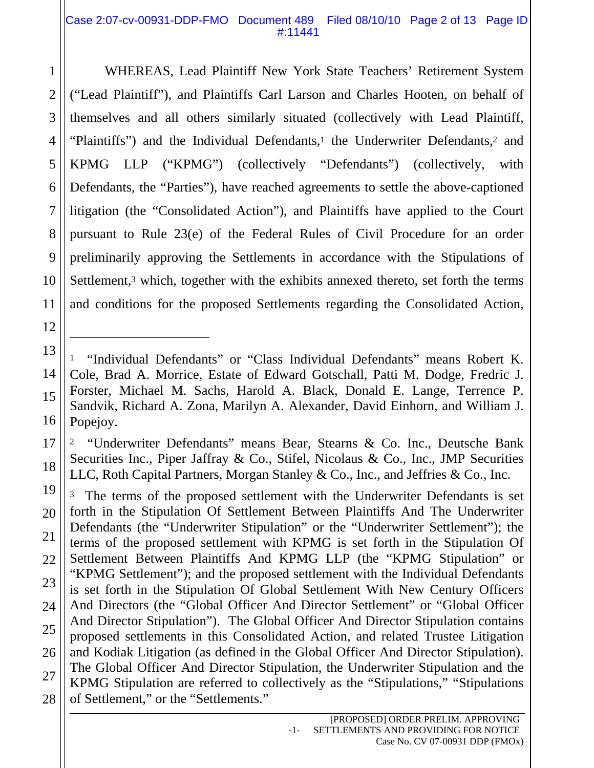## Case 2:07-cv-00931-DDP-FMO Document 489 Filed 08/10/10 Page 2 of 13 Page ID #:11441

WHEREAS, Lead Plaintiff New York State Teachers' Retirement System ("Lead Plaintiff"), and Plaintiffs Carl Larson and Charles Hooten, on behalf of themselves and all others similarly situated (collectively with Lead Plaintiff, "Plaintiffs") and the Individual Defendants,<sup>1</sup> the Underwriter Defendants,<sup>2</sup> and KPMG LLP ("KPMG") (collectively "Defendants") (collectively, with Defendants, the "Parties"), have reached agreements to settle the above-captioned litigation (the "Consolidated Action"), and Plaintiffs have applied to the Court pursuant to Rule 23(e) of the Federal Rules of Civil Procedure for an order preliminarily approving the Settlements in accordance with the Stipulations of Settlement, $3$  which, together with the exhibits annexed thereto, set forth the terms and conditions for the proposed Settlements regarding the Consolidated Action,

2 "Underwriter Defendants" means Bear, Stearns & Co. Inc., Deutsche Bank Securities Inc., Piper Jaffray & Co., Stifel, Nicolaus & Co., Inc., JMP Securities LLC, Roth Capital Partners, Morgan Stanley & Co., Inc., and Jeffries & Co., Inc.

<sup>3</sup> The terms of the proposed settlement with the Underwriter Defendants is set forth in the Stipulation Of Settlement Between Plaintiffs And The Underwriter Defendants (the "Underwriter Stipulation" or the "Underwriter Settlement"); the terms of the proposed settlement with KPMG is set forth in the Stipulation Of Settlement Between Plaintiffs And KPMG LLP (the "KPMG Stipulation" or "KPMG Settlement"); and the proposed settlement with the Individual Defendants is set forth in the Stipulation Of Global Settlement With New Century Officers And Directors (the "Global Officer And Director Settlement" or "Global Officer And Director Stipulation"). The Global Officer And Director Stipulation contains proposed settlements in this Consolidated Action, and related Trustee Litigation and Kodiak Litigation (as defined in the Global Officer And Director Stipulation). The Global Officer And Director Stipulation, the Underwriter Stipulation and the KPMG Stipulation are referred to collectively as the "Stipulations," "Stipulations of Settlement," or the "Settlements."

 $\overline{a}$ 

<sup>&</sup>quot;Individual Defendants" or "Class Individual Defendants" means Robert K. Cole, Brad A. Morrice, Estate of Edward Gotschall, Patti M. Dodge, Fredric J. Forster, Michael M. Sachs, Harold A. Black, Donald E. Lange, Terrence P. Sandvik, Richard A. Zona, Marilyn A. Alexander, David Einhorn, and William J. Popejoy.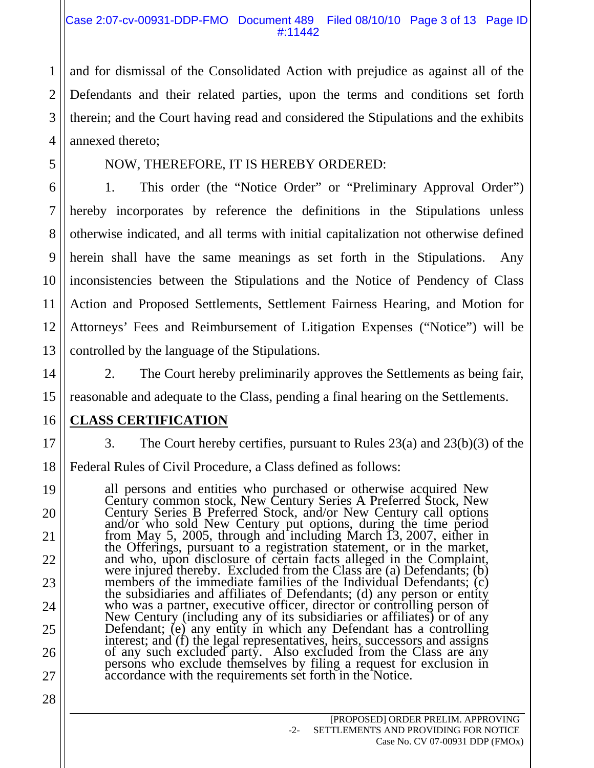## Case 2:07-cv-00931-DDP-FMO Document 489 Filed 08/10/10 Page 3 of 13 Page ID #:11442

and for dismissal of the Consolidated Action with prejudice as against all of the Defendants and their related parties, upon the terms and conditions set forth therein; and the Court having read and considered the Stipulations and the exhibits annexed thereto;

# NOW, THEREFORE, IT IS HEREBY ORDERED:

1. This order (the "Notice Order" or "Preliminary Approval Order") hereby incorporates by reference the definitions in the Stipulations unless otherwise indicated, and all terms with initial capitalization not otherwise defined herein shall have the same meanings as set forth in the Stipulations. Any inconsistencies between the Stipulations and the Notice of Pendency of Class Action and Proposed Settlements, Settlement Fairness Hearing, and Motion for Attorneys' Fees and Reimbursement of Litigation Expenses ("Notice") will be controlled by the language of the Stipulations.

2. The Court hereby preliminarily approves the Settlements as being fair, reasonable and adequate to the Class, pending a final hearing on the Settlements.

# **CLASS CERTIFICATION**

1

2

3

4

5

6

7

8

9

10

11

12

13

14

15

16

17

18

19

20

21

22

23

24

25

26

27

28

3. The Court hereby certifies, pursuant to Rules 23(a) and 23(b)(3) of the

Federal Rules of Civil Procedure, a Class defined as follows:

all persons and entities who purchased or otherwise acquired New Century common stock, New Century Series A Preferred Stock, New entury Series Brew Century put options, during the time period from May 5, 2005, through and including March 13, 2007, either in from May 5, 2005, through and including March 13, 2007, either in the Offerings, pursuant to a registration statement, or in the market, and who, upon disclosure of certain facts alleged in the Complaint, were injured thereby. Excluded from the Class are (a) Defendants; (b) members of the immediate families of the Individual Defendants; (c) members of the immediate families of the Individual Defendants; (c) the subsidiaries and affiliates of Defendants; (d) any person or entity who was a partner, executive officer, director or controlling person of New Centur Defendant; (e) any entity in which any Defendant has a controlling<br>interest; and (f) the legal representatives, heirs, successors and assigns<br>of any such excluded party. Also excluded from the Class are any<br>persons who exc accordance with the requirements set forth in the Notice.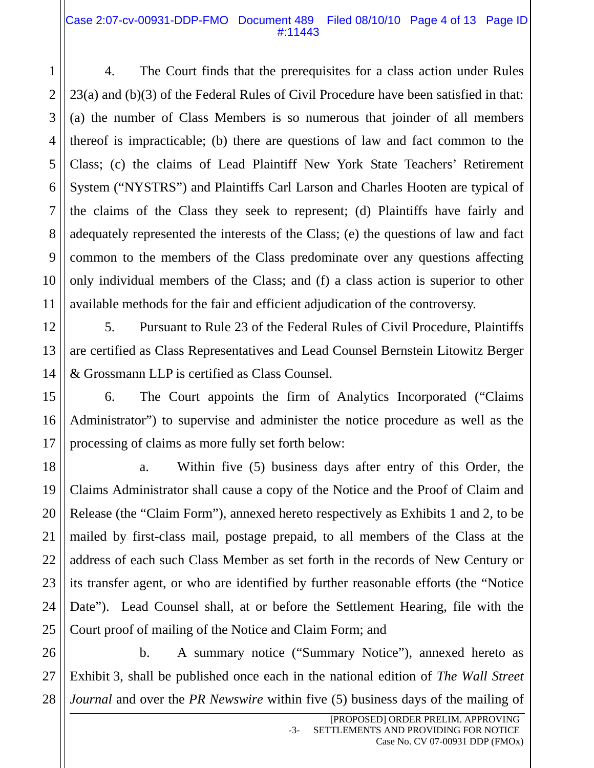## Case 2:07-cv-00931-DDP-FMO Document 489 Filed 08/10/10 Page 4 of 13 Page ID #:11443

4. The Court finds that the prerequisites for a class action under Rules 23(a) and (b)(3) of the Federal Rules of Civil Procedure have been satisfied in that: (a) the number of Class Members is so numerous that joinder of all members thereof is impracticable; (b) there are questions of law and fact common to the Class; (c) the claims of Lead Plaintiff New York State Teachers' Retirement System ("NYSTRS") and Plaintiffs Carl Larson and Charles Hooten are typical of the claims of the Class they seek to represent; (d) Plaintiffs have fairly and adequately represented the interests of the Class; (e) the questions of law and fact common to the members of the Class predominate over any questions affecting only individual members of the Class; and (f) a class action is superior to other available methods for the fair and efficient adjudication of the controversy.

5. Pursuant to Rule 23 of the Federal Rules of Civil Procedure, Plaintiffs are certified as Class Representatives and Lead Counsel Bernstein Litowitz Berger & Grossmann LLP is certified as Class Counsel.

6. The Court appoints the firm of Analytics Incorporated ("Claims Administrator") to supervise and administer the notice procedure as well as the processing of claims as more fully set forth below:

a. Within five (5) business days after entry of this Order, the Claims Administrator shall cause a copy of the Notice and the Proof of Claim and Release (the "Claim Form"), annexed hereto respectively as Exhibits 1 and 2, to be mailed by first-class mail, postage prepaid, to all members of the Class at the address of each such Class Member as set forth in the records of New Century or its transfer agent, or who are identified by further reasonable efforts (the "Notice Date"). Lead Counsel shall, at or before the Settlement Hearing, file with the Court proof of mailing of the Notice and Claim Form; and

b. A summary notice ("Summary Notice"), annexed hereto as Exhibit 3, shall be published once each in the national edition of *The Wall Street Journal* and over the *PR Newswire* within five (5) business days of the mailing of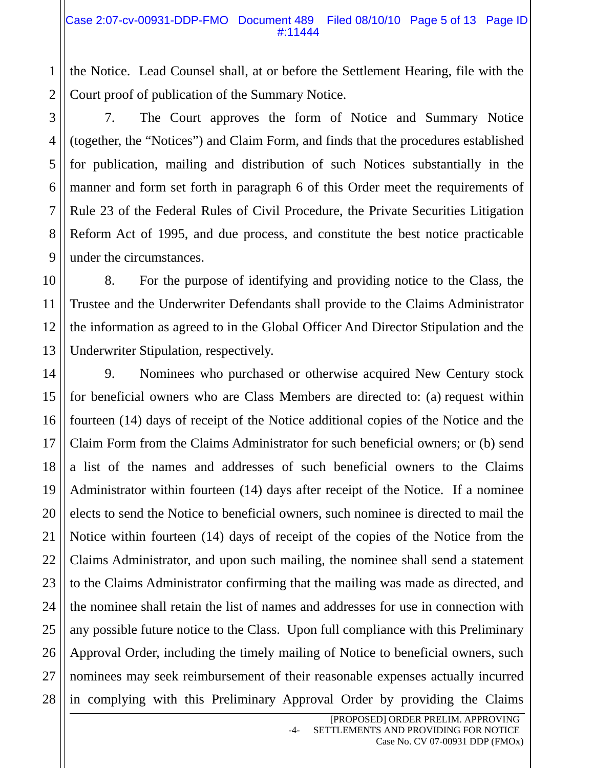the Notice. Lead Counsel shall, at or before the Settlement Hearing, file with the Court proof of publication of the Summary Notice.

7. The Court approves the form of Notice and Summary Notice (together, the "Notices") and Claim Form, and finds that the procedures established for publication, mailing and distribution of such Notices substantially in the manner and form set forth in paragraph 6 of this Order meet the requirements of Rule 23 of the Federal Rules of Civil Procedure, the Private Securities Litigation Reform Act of 1995, and due process, and constitute the best notice practicable under the circumstances.

8. For the purpose of identifying and providing notice to the Class, the Trustee and the Underwriter Defendants shall provide to the Claims Administrator the information as agreed to in the Global Officer And Director Stipulation and the Underwriter Stipulation, respectively.

9. Nominees who purchased or otherwise acquired New Century stock for beneficial owners who are Class Members are directed to: (a) request within fourteen (14) days of receipt of the Notice additional copies of the Notice and the Claim Form from the Claims Administrator for such beneficial owners; or (b) send a list of the names and addresses of such beneficial owners to the Claims Administrator within fourteen (14) days after receipt of the Notice. If a nominee elects to send the Notice to beneficial owners, such nominee is directed to mail the Notice within fourteen (14) days of receipt of the copies of the Notice from the Claims Administrator, and upon such mailing, the nominee shall send a statement to the Claims Administrator confirming that the mailing was made as directed, and the nominee shall retain the list of names and addresses for use in connection with any possible future notice to the Class. Upon full compliance with this Preliminary Approval Order, including the timely mailing of Notice to beneficial owners, such nominees may seek reimbursement of their reasonable expenses actually incurred in complying with this Preliminary Approval Order by providing the Claims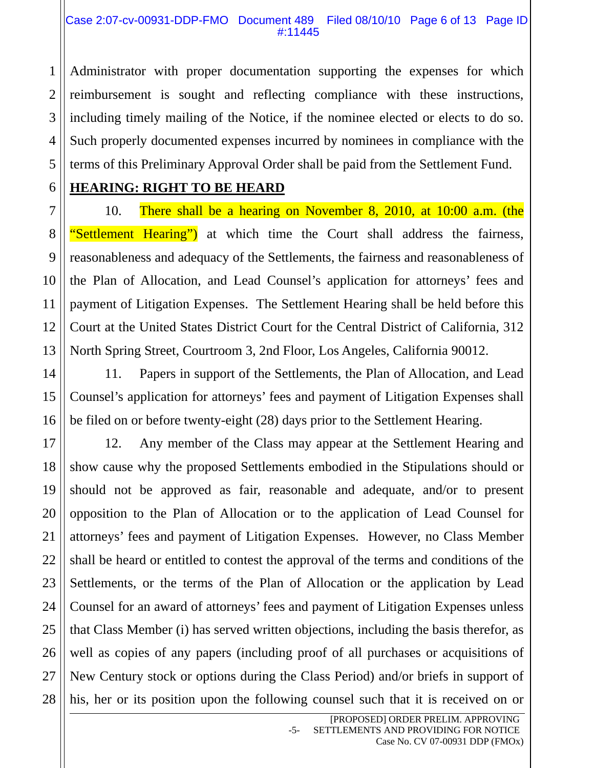Administrator with proper documentation supporting the expenses for which reimbursement is sought and reflecting compliance with these instructions, including timely mailing of the Notice, if the nominee elected or elects to do so. Such properly documented expenses incurred by nominees in compliance with the terms of this Preliminary Approval Order shall be paid from the Settlement Fund.

1

2

# **HEARING: RIGHT TO BE HEARD**

10. There shall be a hearing on November 8, 2010, at 10:00 a.m. (the "Settlement Hearing") at which time the Court shall address the fairness, reasonableness and adequacy of the Settlements, the fairness and reasonableness of the Plan of Allocation, and Lead Counsel's application for attorneys' fees and payment of Litigation Expenses. The Settlement Hearing shall be held before this Court at the United States District Court for the Central District of California, 312 North Spring Street, Courtroom 3, 2nd Floor, Los Angeles, California 90012.

11. Papers in support of the Settlements, the Plan of Allocation, and Lead Counsel's application for attorneys' fees and payment of Litigation Expenses shall be filed on or before twenty-eight (28) days prior to the Settlement Hearing.

12. Any member of the Class may appear at the Settlement Hearing and show cause why the proposed Settlements embodied in the Stipulations should or should not be approved as fair, reasonable and adequate, and/or to present opposition to the Plan of Allocation or to the application of Lead Counsel for attorneys' fees and payment of Litigation Expenses. However, no Class Member shall be heard or entitled to contest the approval of the terms and conditions of the Settlements, or the terms of the Plan of Allocation or the application by Lead Counsel for an award of attorneys' fees and payment of Litigation Expenses unless that Class Member (i) has served written objections, including the basis therefor, as well as copies of any papers (including proof of all purchases or acquisitions of New Century stock or options during the Class Period) and/or briefs in support of his, her or its position upon the following counsel such that it is received on or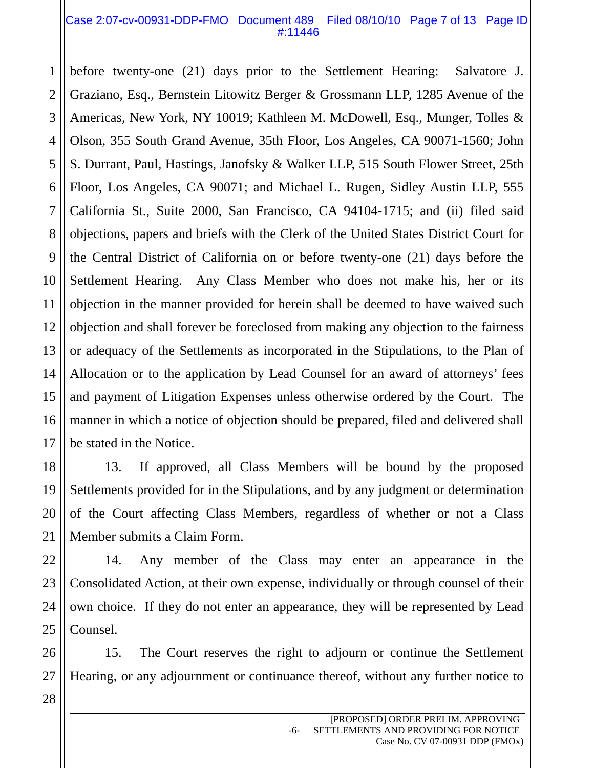### Case 2:07-cv-00931-DDP-FMO Document 489 Filed 08/10/10 Page 7 of 13 Page ID #:11446

1 before twenty-one (21) days prior to the Settlement Hearing: Salvatore J. Graziano, Esq., Bernstein Litowitz Berger & Grossmann LLP, 1285 Avenue of the Americas, New York, NY 10019; Kathleen M. McDowell, Esq., Munger, Tolles & Olson, 355 South Grand Avenue, 35th Floor, Los Angeles, CA 90071-1560; John S. Durrant, Paul, Hastings, Janofsky & Walker LLP, 515 South Flower Street, 25th Floor, Los Angeles, CA 90071; and Michael L. Rugen, Sidley Austin LLP, 555 California St., Suite 2000, San Francisco, CA 94104-1715; and (ii) filed said objections, papers and briefs with the Clerk of the United States District Court for the Central District of California on or before twenty-one (21) days before the Settlement Hearing. Any Class Member who does not make his, her or its objection in the manner provided for herein shall be deemed to have waived such objection and shall forever be foreclosed from making any objection to the fairness or adequacy of the Settlements as incorporated in the Stipulations, to the Plan of Allocation or to the application by Lead Counsel for an award of attorneys' fees and payment of Litigation Expenses unless otherwise ordered by the Court. The manner in which a notice of objection should be prepared, filed and delivered shall be stated in the Notice.

13. If approved, all Class Members will be bound by the proposed Settlements provided for in the Stipulations, and by any judgment or determination of the Court affecting Class Members, regardless of whether or not a Class Member submits a Claim Form.

14. Any member of the Class may enter an appearance in the Consolidated Action, at their own expense, individually or through counsel of their own choice. If they do not enter an appearance, they will be represented by Lead Counsel.

15. The Court reserves the right to adjourn or continue the Settlement Hearing, or any adjournment or continuance thereof, without any further notice to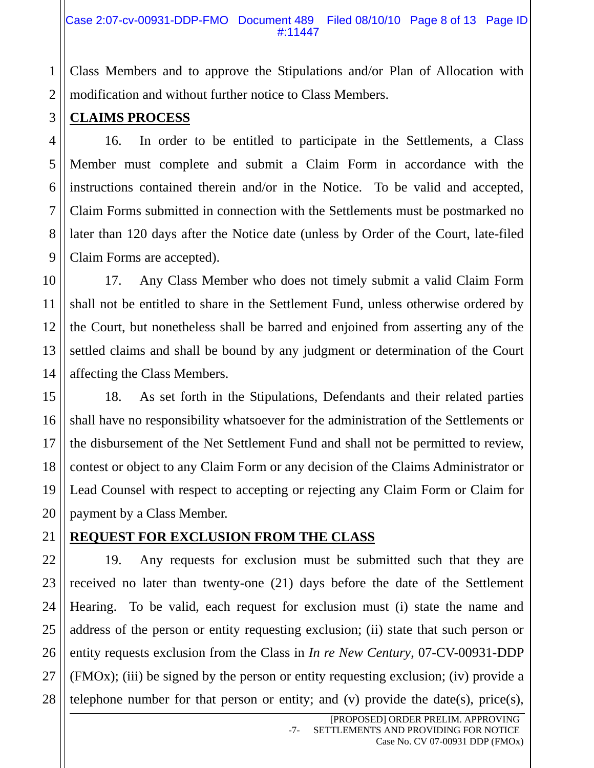Class Members and to approve the Stipulations and/or Plan of Allocation with modification and without further notice to Class Members.

## **CLAIMS PROCESS**

16. In order to be entitled to participate in the Settlements, a Class Member must complete and submit a Claim Form in accordance with the instructions contained therein and/or in the Notice. To be valid and accepted, Claim Forms submitted in connection with the Settlements must be postmarked no later than 120 days after the Notice date (unless by Order of the Court, late-filed Claim Forms are accepted).

17. Any Class Member who does not timely submit a valid Claim Form shall not be entitled to share in the Settlement Fund, unless otherwise ordered by the Court, but nonetheless shall be barred and enjoined from asserting any of the settled claims and shall be bound by any judgment or determination of the Court affecting the Class Members.

18. As set forth in the Stipulations, Defendants and their related parties shall have no responsibility whatsoever for the administration of the Settlements or the disbursement of the Net Settlement Fund and shall not be permitted to review, contest or object to any Claim Form or any decision of the Claims Administrator or Lead Counsel with respect to accepting or rejecting any Claim Form or Claim for payment by a Class Member.

## **REQUEST FOR EXCLUSION FROM THE CLASS**

19. Any requests for exclusion must be submitted such that they are received no later than twenty-one (21) days before the date of the Settlement Hearing. To be valid, each request for exclusion must (i) state the name and address of the person or entity requesting exclusion; (ii) state that such person or entity requests exclusion from the Class in *In re New Century*, 07-CV-00931-DDP (FMOx); (iii) be signed by the person or entity requesting exclusion; (iv) provide a telephone number for that person or entity; and (v) provide the date(s), price(s),

1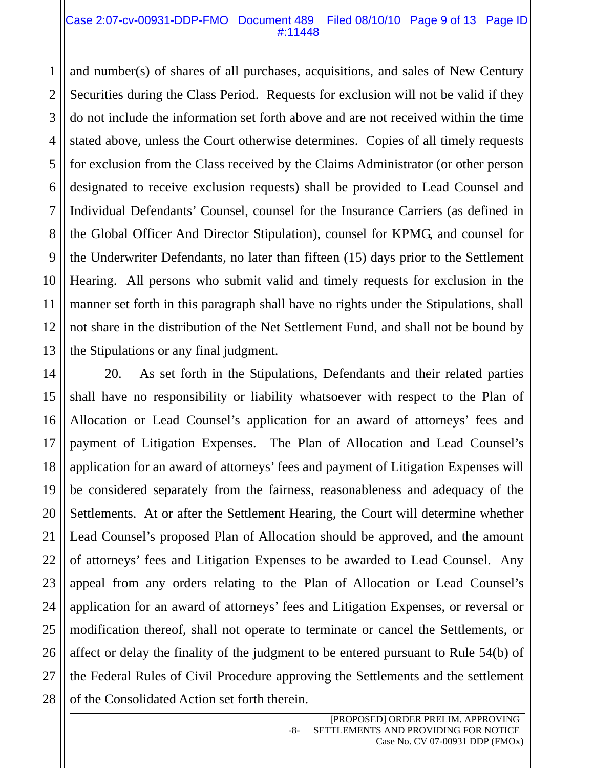#### Case 2:07-cv-00931-DDP-FMO Document 489 Filed 08/10/10 Page 9 of 13 Page ID #:11448

and number(s) of shares of all purchases, acquisitions, and sales of New Century Securities during the Class Period. Requests for exclusion will not be valid if they do not include the information set forth above and are not received within the time stated above, unless the Court otherwise determines. Copies of all timely requests for exclusion from the Class received by the Claims Administrator (or other person designated to receive exclusion requests) shall be provided to Lead Counsel and Individual Defendants' Counsel, counsel for the Insurance Carriers (as defined in the Global Officer And Director Stipulation), counsel for KPMG, and counsel for the Underwriter Defendants, no later than fifteen (15) days prior to the Settlement Hearing. All persons who submit valid and timely requests for exclusion in the manner set forth in this paragraph shall have no rights under the Stipulations, shall not share in the distribution of the Net Settlement Fund, and shall not be bound by the Stipulations or any final judgment.

20. As set forth in the Stipulations, Defendants and their related parties shall have no responsibility or liability whatsoever with respect to the Plan of Allocation or Lead Counsel's application for an award of attorneys' fees and payment of Litigation Expenses. The Plan of Allocation and Lead Counsel's application for an award of attorneys' fees and payment of Litigation Expenses will be considered separately from the fairness, reasonableness and adequacy of the Settlements. At or after the Settlement Hearing, the Court will determine whether Lead Counsel's proposed Plan of Allocation should be approved, and the amount of attorneys' fees and Litigation Expenses to be awarded to Lead Counsel. Any appeal from any orders relating to the Plan of Allocation or Lead Counsel's application for an award of attorneys' fees and Litigation Expenses, or reversal or modification thereof, shall not operate to terminate or cancel the Settlements, or affect or delay the finality of the judgment to be entered pursuant to Rule 54(b) of the Federal Rules of Civil Procedure approving the Settlements and the settlement of the Consolidated Action set forth therein.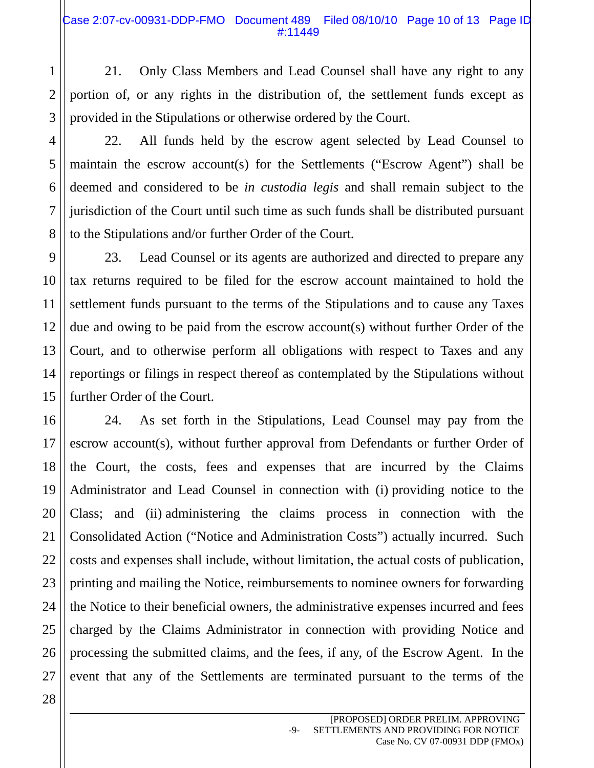21. Only Class Members and Lead Counsel shall have any right to any portion of, or any rights in the distribution of, the settlement funds except as provided in the Stipulations or otherwise ordered by the Court.

22. All funds held by the escrow agent selected by Lead Counsel to maintain the escrow account(s) for the Settlements ("Escrow Agent") shall be deemed and considered to be *in custodia legis* and shall remain subject to the jurisdiction of the Court until such time as such funds shall be distributed pursuant to the Stipulations and/or further Order of the Court.

23. Lead Counsel or its agents are authorized and directed to prepare any tax returns required to be filed for the escrow account maintained to hold the settlement funds pursuant to the terms of the Stipulations and to cause any Taxes due and owing to be paid from the escrow account(s) without further Order of the Court, and to otherwise perform all obligations with respect to Taxes and any reportings or filings in respect thereof as contemplated by the Stipulations without further Order of the Court.

24. As set forth in the Stipulations, Lead Counsel may pay from the escrow account(s), without further approval from Defendants or further Order of the Court, the costs, fees and expenses that are incurred by the Claims Administrator and Lead Counsel in connection with (i) providing notice to the Class; and (ii) administering the claims process in connection with the Consolidated Action ("Notice and Administration Costs") actually incurred. Such costs and expenses shall include, without limitation, the actual costs of publication, printing and mailing the Notice, reimbursements to nominee owners for forwarding the Notice to their beneficial owners, the administrative expenses incurred and fees charged by the Claims Administrator in connection with providing Notice and processing the submitted claims, and the fees, if any, of the Escrow Agent. In the event that any of the Settlements are terminated pursuant to the terms of the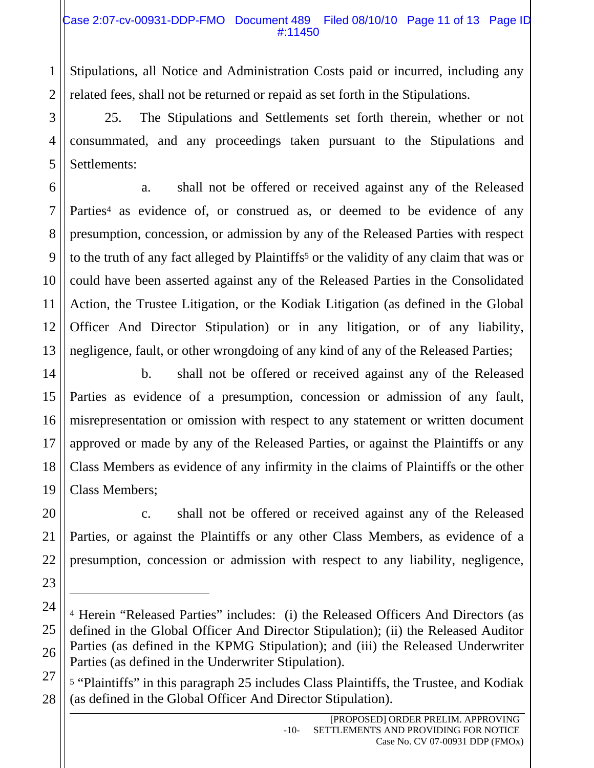Stipulations, all Notice and Administration Costs paid or incurred, including any related fees, shall not be returned or repaid as set forth in the Stipulations.

25. The Stipulations and Settlements set forth therein, whether or not consummated, and any proceedings taken pursuant to the Stipulations and Settlements:

a. shall not be offered or received against any of the Released Parties<sup>4</sup> as evidence of, or construed as, or deemed to be evidence of any presumption, concession, or admission by any of the Released Parties with respect to the truth of any fact alleged by Plaintiffs<sup>5</sup> or the validity of any claim that was or could have been asserted against any of the Released Parties in the Consolidated Action, the Trustee Litigation, or the Kodiak Litigation (as defined in the Global Officer And Director Stipulation) or in any litigation, or of any liability, negligence, fault, or other wrongdoing of any kind of any of the Released Parties;

b. shall not be offered or received against any of the Released Parties as evidence of a presumption, concession or admission of any fault, misrepresentation or omission with respect to any statement or written document approved or made by any of the Released Parties, or against the Plaintiffs or any Class Members as evidence of any infirmity in the claims of Plaintiffs or the other Class Members;

c. shall not be offered or received against any of the Released Parties, or against the Plaintiffs or any other Class Members, as evidence of a presumption, concession or admission with respect to any liability, negligence,

l

<sup>4</sup> Herein "Released Parties" includes: (i) the Released Officers And Directors (as defined in the Global Officer And Director Stipulation); (ii) the Released Auditor Parties (as defined in the KPMG Stipulation); and (iii) the Released Underwriter Parties (as defined in the Underwriter Stipulation).

<sup>5 &</sup>quot;Plaintiffs" in this paragraph 25 includes Class Plaintiffs, the Trustee, and Kodiak (as defined in the Global Officer And Director Stipulation).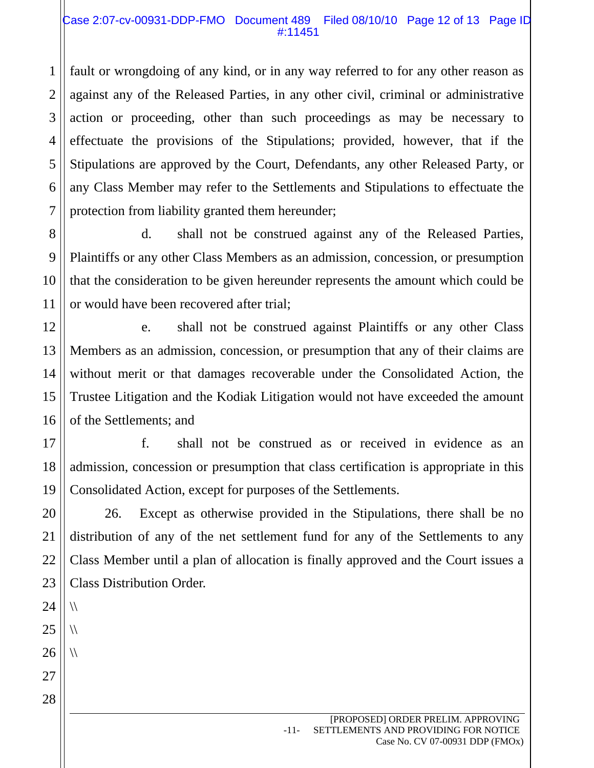## Case 2:07-cv-00931-DDP-FMO Document 489 Filed 08/10/10 Page 12 of 13 Page ID #:11451

fault or wrongdoing of any kind, or in any way referred to for any other reason as against any of the Released Parties, in any other civil, criminal or administrative action or proceeding, other than such proceedings as may be necessary to effectuate the provisions of the Stipulations; provided, however, that if the Stipulations are approved by the Court, Defendants, any other Released Party, or any Class Member may refer to the Settlements and Stipulations to effectuate the protection from liability granted them hereunder;

d. shall not be construed against any of the Released Parties, Plaintiffs or any other Class Members as an admission, concession, or presumption that the consideration to be given hereunder represents the amount which could be or would have been recovered after trial;

e. shall not be construed against Plaintiffs or any other Class Members as an admission, concession, or presumption that any of their claims are without merit or that damages recoverable under the Consolidated Action, the Trustee Litigation and the Kodiak Litigation would not have exceeded the amount of the Settlements; and

18 19 f. shall not be construed as or received in evidence as an admission, concession or presumption that class certification is appropriate in this Consolidated Action, except for purposes of the Settlements.

26. Except as otherwise provided in the Stipulations, there shall be no distribution of any of the net settlement fund for any of the Settlements to any Class Member until a plan of allocation is finally approved and the Court issues a Class Distribution Order.

 $\sqrt{ }$ 

 $\sqrt{ }$ 

 $\sqrt{ }$ 

28

1

2

3

4

5

6

7

8

9

10

11

12

13

14

15

16